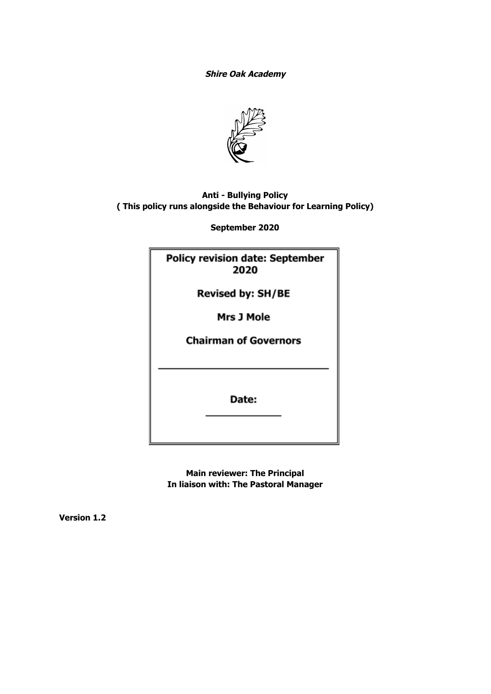**Shire Oak Academy**



# **Anti - Bullying Policy ( This policy runs alongside the Behaviour for Learning Policy)**

**September 2020**

| <b>Policy revision date: September</b><br>2020 |  |
|------------------------------------------------|--|
| <b>Revised by: SH/BE</b>                       |  |
| Mrs J Mole                                     |  |
| <b>Chairman of Governors</b>                   |  |
|                                                |  |
| Date:                                          |  |

**Main reviewer: The Principal In liaison with: The Pastoral Manager**

**Version 1.2**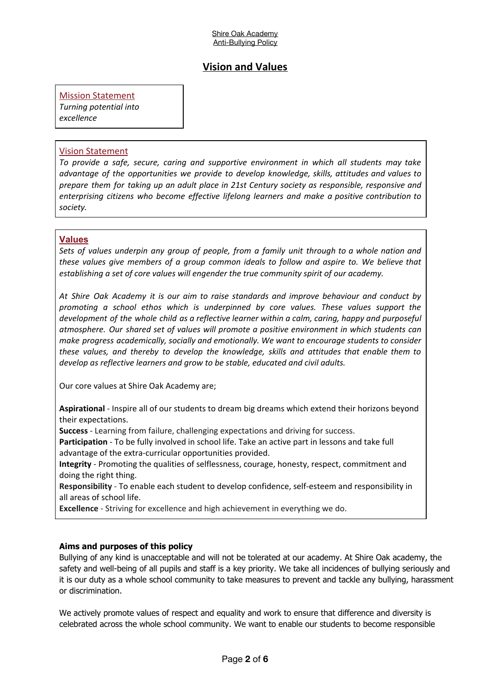# **Vision and Values**

**Mission Statement** 

*Turning potential into excellence*

#### Vision Statement

*To provide a safe, secure, caring and supportive environment in which all students may take advantage of the opportunities we provide to develop knowledge, skills, attitudes and values to prepare them for taking up an adult place in 21st Century society as responsible, responsive and enterprising citizens who become effective lifelong learners and make a positive contribution to society.*

#### **Values**

*Sets of values underpin any group of people, from a family unit through to a whole nation and these values give members of a group common ideals to follow and aspire to. We believe that establishing a set of core values will engender the true community spirit of our academy.*

*At Shire Oak Academy it is our aim to raise standards and improve behaviour and conduct by promoting a school ethos which is underpinned by core values. These values support the development of the whole child as a reflective learner within a calm, caring, happy and purposeful atmosphere. Our shared set of values will promote a positive environment in which students can make progress academically, socially and emotionally. We want to encourage students to consider these values, and thereby to develop the knowledge, skills and attitudes that enable them to develop as reflective learners and grow to be stable, educated and civil adults.*

Our core values at Shire Oak Academy are;

**Aspirational** - Inspire all of our students to dream big dreams which extend their horizons beyond their expectations.

**Success** - Learning from failure, challenging expectations and driving for success.

**Participation** - To be fully involved in school life. Take an active part in lessons and take full advantage of the extra-curricular opportunities provided.

**Integrity** - Promoting the qualities of selflessness, courage, honesty, respect, commitment and doing the right thing.

**Responsibility** - To enable each student to develop confidence, self-esteem and responsibility in all areas of school life.

**Excellence** - Striving for excellence and high achievement in everything we do.

#### **Aims and purposes of this policy**

Bullying of any kind is unacceptable and will not be tolerated at our academy. At Shire Oak academy, the safety and well-being of all pupils and staff is a key priority. We take all incidences of bullying seriously and it is our duty as a whole school community to take measures to prevent and tackle any bullying, harassment or discrimination.

We actively promote values of respect and equality and work to ensure that difference and diversity is celebrated across the whole school community. We want to enable our students to become responsible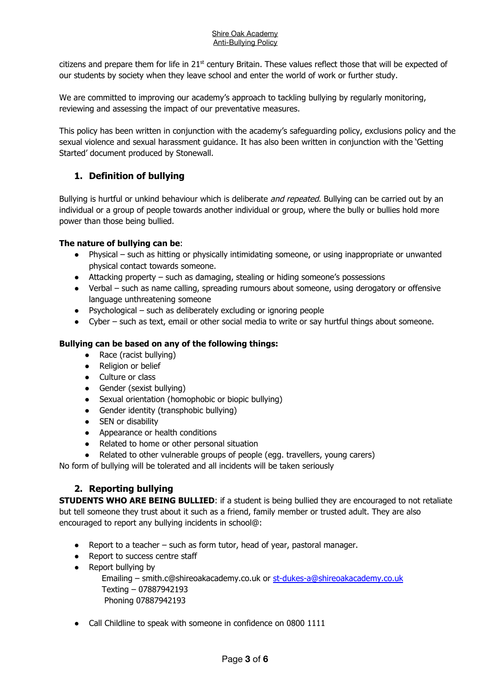citizens and prepare them for life in 21<sup>st</sup> century Britain. These values reflect those that will be expected of our students by society when they leave school and enter the world of work or further study.

We are committed to improving our academy's approach to tackling bullying by regularly monitoring, reviewing and assessing the impact of our preventative measures.

This policy has been written in conjunction with the academy's safeguarding policy, exclusions policy and the sexual violence and sexual harassment guidance. It has also been written in conjunction with the 'Getting Started' document produced by Stonewall.

# **1. Definition of bullying**

Bullying is hurtful or unkind behaviour which is deliberate *and repeated*. Bullying can be carried out by an individual or a group of people towards another individual or group, where the bully or bullies hold more power than those being bullied.

#### **The nature of bullying can be**:

- Physical such as hitting or physically intimidating someone, or using inappropriate or unwanted physical contact towards someone.
- Attacking property such as damaging, stealing or hiding someone's possessions
- Verbal such as name calling, spreading rumours about someone, using derogatory or offensive language unthreatening someone
- $\bullet$  Psychological such as deliberately excluding or ignoring people
- Cyber such as text, email or other social media to write or say hurtful things about someone.

#### **Bullying can be based on any of the following things:**

- Race (racist bullying)
- Religion or belief
- Culture or class
- Gender (sexist bullying)
- Sexual orientation (homophobic or biopic bullying)
- Gender identity (transphobic bullying)
- SEN or disability
- Appearance or health conditions
- Related to home or other personal situation
- Related to other vulnerable groups of people (egg. travellers, young carers)

No form of bullying will be tolerated and all incidents will be taken seriously

# **2. Reporting bullying**

**STUDENTS WHO ARE BEING BULLIED**: if a student is being bullied they are encouraged to not retaliate but tell someone they trust about it such as a friend, family member or trusted adult. They are also encouraged to report any bullying incidents in school@:

- Report to a teacher  $-$  such as form tutor, head of year, pastoral manager.
- Report to success centre staff
- Report bullying by

Emailing – smith.c@shireoakacademy.co.uk or [st-dukes-a@shireoakacademy.co.uk](mailto:st-dukes-a@shireoakacademy.co.uk) Texting – 07887942193 Phoning 07887942193

• Call Childline to speak with someone in confidence on 0800 1111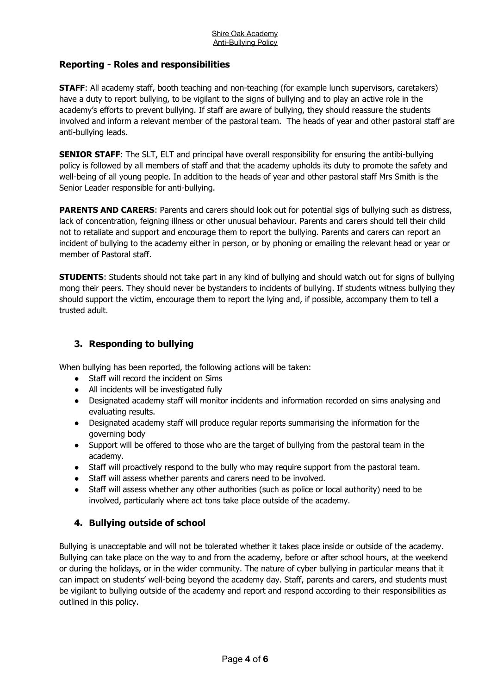## **Reporting - Roles and responsibilities**

**STAFF:** All academy staff, booth teaching and non-teaching (for example lunch supervisors, caretakers) have a duty to report bullying, to be vigilant to the signs of bullying and to play an active role in the academy's efforts to prevent bullying. If staff are aware of bullying, they should reassure the students involved and inform a relevant member of the pastoral team. The heads of year and other pastoral staff are anti-bullying leads.

**SENIOR STAFF:** The SLT, ELT and principal have overall responsibility for ensuring the antibi-bullying policy is followed by all members of staff and that the academy upholds its duty to promote the safety and well-being of all young people. In addition to the heads of year and other pastoral staff Mrs Smith is the Senior Leader responsible for anti-bullying.

**PARENTS AND CARERS:** Parents and carers should look out for potential sigs of bullying such as distress, lack of concentration, feigning illness or other unusual behaviour. Parents and carers should tell their child not to retaliate and support and encourage them to report the bullying. Parents and carers can report an incident of bullying to the academy either in person, or by phoning or emailing the relevant head or year or member of Pastoral staff.

**STUDENTS**: Students should not take part in any kind of bullying and should watch out for signs of bullying mong their peers. They should never be bystanders to incidents of bullying. If students witness bullying they should support the victim, encourage them to report the lying and, if possible, accompany them to tell a trusted adult.

# **3. Responding to bullying**

When bullying has been reported, the following actions will be taken:

- Staff will record the incident on Sims
- All incidents will be investigated fully
- Designated academy staff will monitor incidents and information recorded on sims analysing and evaluating results.
- Designated academy staff will produce regular reports summarising the information for the governing body
- Support will be offered to those who are the target of bullying from the pastoral team in the academy.
- Staff will proactively respond to the bully who may require support from the pastoral team.
- Staff will assess whether parents and carers need to be involved.
- Staff will assess whether any other authorities (such as police or local authority) need to be involved, particularly where act tons take place outside of the academy.

# **4. Bullying outside of school**

Bullying is unacceptable and will not be tolerated whether it takes place inside or outside of the academy. Bullying can take place on the way to and from the academy, before or after school hours, at the weekend or during the holidays, or in the wider community. The nature of cyber bullying in particular means that it can impact on students' well-being beyond the academy day. Staff, parents and carers, and students must be vigilant to bullying outside of the academy and report and respond according to their responsibilities as outlined in this policy.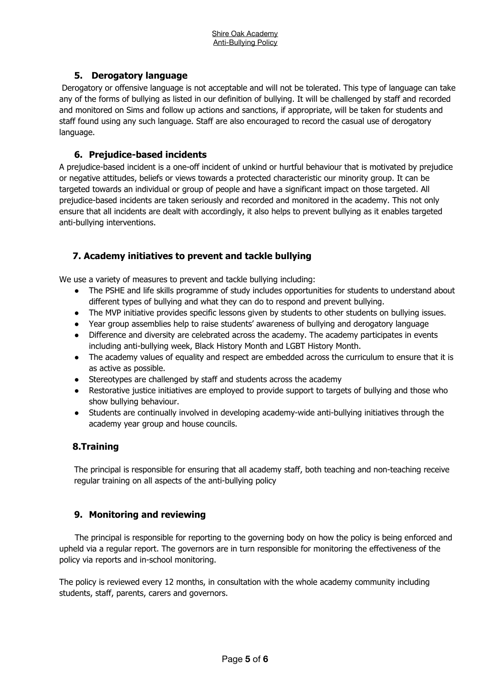## **5. Derogatory language**

Derogatory or offensive language is not acceptable and will not be tolerated. This type of language can take any of the forms of bullying as listed in our definition of bullying. It will be challenged by staff and recorded and monitored on Sims and follow up actions and sanctions, if appropriate, will be taken for students and staff found using any such language. Staff are also encouraged to record the casual use of derogatory language.

## **6. Prejudice-based incidents**

A prejudice-based incident is a one-off incident of unkind or hurtful behaviour that is motivated by prejudice or negative attitudes, beliefs or views towards a protected characteristic our minority group. It can be targeted towards an individual or group of people and have a significant impact on those targeted. All prejudice-based incidents are taken seriously and recorded and monitored in the academy. This not only ensure that all incidents are dealt with accordingly, it also helps to prevent bullying as it enables targeted anti-bullying interventions.

# **7. Academy initiatives to prevent and tackle bullying**

We use a variety of measures to prevent and tackle bullying including:

- The PSHE and life skills programme of study includes opportunities for students to understand about different types of bullying and what they can do to respond and prevent bullying.
- The MVP initiative provides specific lessons given by students to other students on bullying issues.
- Year group assemblies help to raise students' awareness of bullying and derogatory language
- Difference and diversity are celebrated across the academy. The academy participates in events including anti-bullying week, Black History Month and LGBT History Month.
- The academy values of equality and respect are embedded across the curriculum to ensure that it is as active as possible.
- Stereotypes are challenged by staff and students across the academy
- Restorative justice initiatives are employed to provide support to targets of bullying and those who show bullying behaviour.
- Students are continually involved in developing academy-wide anti-bullying initiatives through the academy year group and house councils.

### **8.Training**

The principal is responsible for ensuring that all academy staff, both teaching and non-teaching receive regular training on all aspects of the anti-bullying policy

### **9. Monitoring and reviewing**

The principal is responsible for reporting to the governing body on how the policy is being enforced and upheld via a regular report. The governors are in turn responsible for monitoring the effectiveness of the policy via reports and in-school monitoring.

The policy is reviewed every 12 months, in consultation with the whole academy community including students, staff, parents, carers and governors.